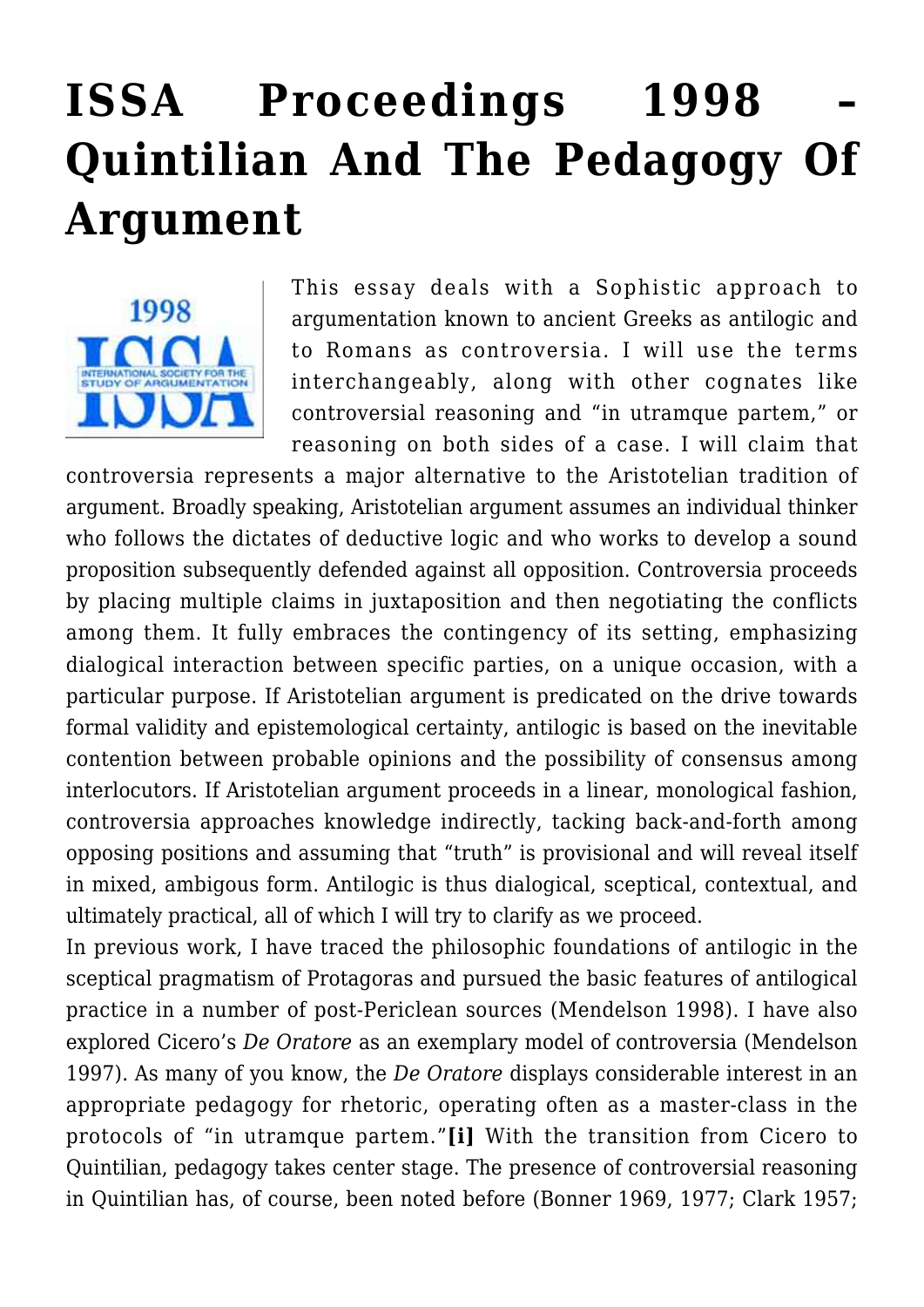# **[ISSA Proceedings 1998 –](https://rozenbergquarterly.com/issa-proceedings-1998-quintilian-and-the-pedagogy-of-argument/) [Quintilian And The Pedagogy Of](https://rozenbergquarterly.com/issa-proceedings-1998-quintilian-and-the-pedagogy-of-argument/) [Argument](https://rozenbergquarterly.com/issa-proceedings-1998-quintilian-and-the-pedagogy-of-argument/)**



This essay deals with a Sophistic approach to argumentation known to ancient Greeks as antilogic and to Romans as controversia. I will use the terms interchangeably, along with other cognates like controversial reasoning and "in utramque partem," or reasoning on both sides of a case. I will claim that

controversia represents a major alternative to the Aristotelian tradition of argument. Broadly speaking, Aristotelian argument assumes an individual thinker who follows the dictates of deductive logic and who works to develop a sound proposition subsequently defended against all opposition. Controversia proceeds by placing multiple claims in juxtaposition and then negotiating the conflicts among them. It fully embraces the contingency of its setting, emphasizing dialogical interaction between specific parties, on a unique occasion, with a particular purpose. If Aristotelian argument is predicated on the drive towards formal validity and epistemological certainty, antilogic is based on the inevitable contention between probable opinions and the possibility of consensus among interlocutors. If Aristotelian argument proceeds in a linear, monological fashion, controversia approaches knowledge indirectly, tacking back-and-forth among opposing positions and assuming that "truth" is provisional and will reveal itself in mixed, ambigous form. Antilogic is thus dialogical, sceptical, contextual, and ultimately practical, all of which I will try to clarify as we proceed.

In previous work, I have traced the philosophic foundations of antilogic in the sceptical pragmatism of Protagoras and pursued the basic features of antilogical practice in a number of post-Periclean sources (Mendelson 1998). I have also explored Cicero's *De Oratore* as an exemplary model of controversia (Mendelson 1997). As many of you know, the *De Oratore* displays considerable interest in an appropriate pedagogy for rhetoric, operating often as a master-class in the protocols of "in utramque partem."**[i]** With the transition from Cicero to Quintilian, pedagogy takes center stage. The presence of controversial reasoning in Quintilian has, of course, been noted before (Bonner 1969, 1977; Clark 1957;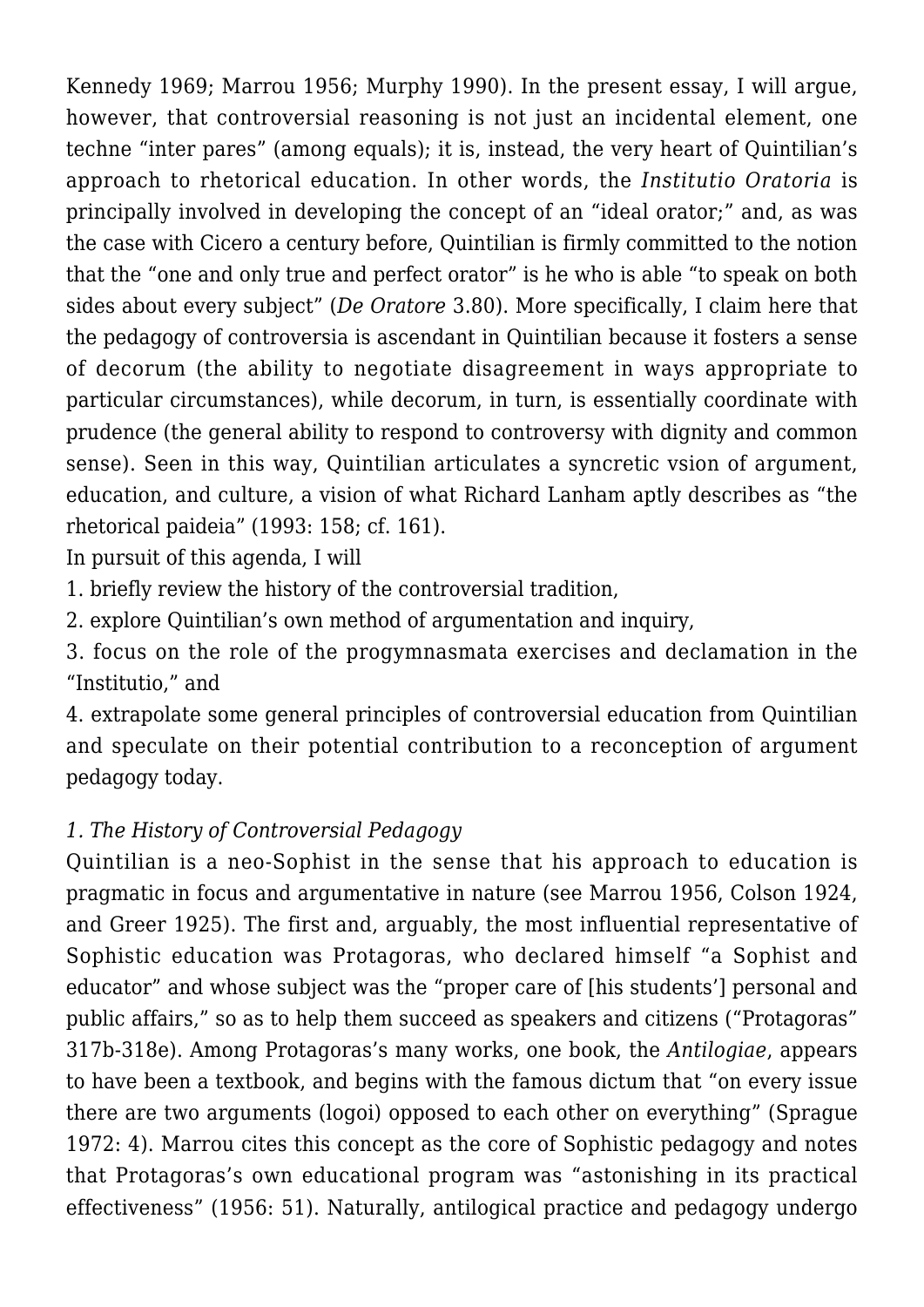Kennedy 1969; Marrou 1956; Murphy 1990). In the present essay, I will argue, however, that controversial reasoning is not just an incidental element, one techne "inter pares" (among equals); it is, instead, the very heart of Quintilian's approach to rhetorical education. In other words, the *Institutio Oratoria* is principally involved in developing the concept of an "ideal orator;" and, as was the case with Cicero a century before, Quintilian is firmly committed to the notion that the "one and only true and perfect orator" is he who is able "to speak on both sides about every subject" (*De Oratore* 3.80). More specifically, I claim here that the pedagogy of controversia is ascendant in Quintilian because it fosters a sense of decorum (the ability to negotiate disagreement in ways appropriate to particular circumstances), while decorum, in turn, is essentially coordinate with prudence (the general ability to respond to controversy with dignity and common sense). Seen in this way, Quintilian articulates a syncretic vsion of argument, education, and culture, a vision of what Richard Lanham aptly describes as "the rhetorical paideia" (1993: 158; cf. 161).

In pursuit of this agenda, I will

1. briefly review the history of the controversial tradition,

2. explore Quintilian's own method of argumentation and inquiry,

3. focus on the role of the progymnasmata exercises and declamation in the "Institutio," and

4. extrapolate some general principles of controversial education from Quintilian and speculate on their potential contribution to a reconception of argument pedagogy today.

# *1. The History of Controversial Pedagogy*

Quintilian is a neo-Sophist in the sense that his approach to education is pragmatic in focus and argumentative in nature (see Marrou 1956, Colson 1924, and Greer 1925). The first and, arguably, the most influential representative of Sophistic education was Protagoras, who declared himself "a Sophist and educator" and whose subject was the "proper care of [his students'] personal and public affairs," so as to help them succeed as speakers and citizens ("Protagoras" 317b-318e). Among Protagoras's many works, one book, the *Antilogiae*, appears to have been a textbook, and begins with the famous dictum that "on every issue there are two arguments (logoi) opposed to each other on everything" (Sprague 1972: 4). Marrou cites this concept as the core of Sophistic pedagogy and notes that Protagoras's own educational program was "astonishing in its practical effectiveness" (1956: 51). Naturally, antilogical practice and pedagogy undergo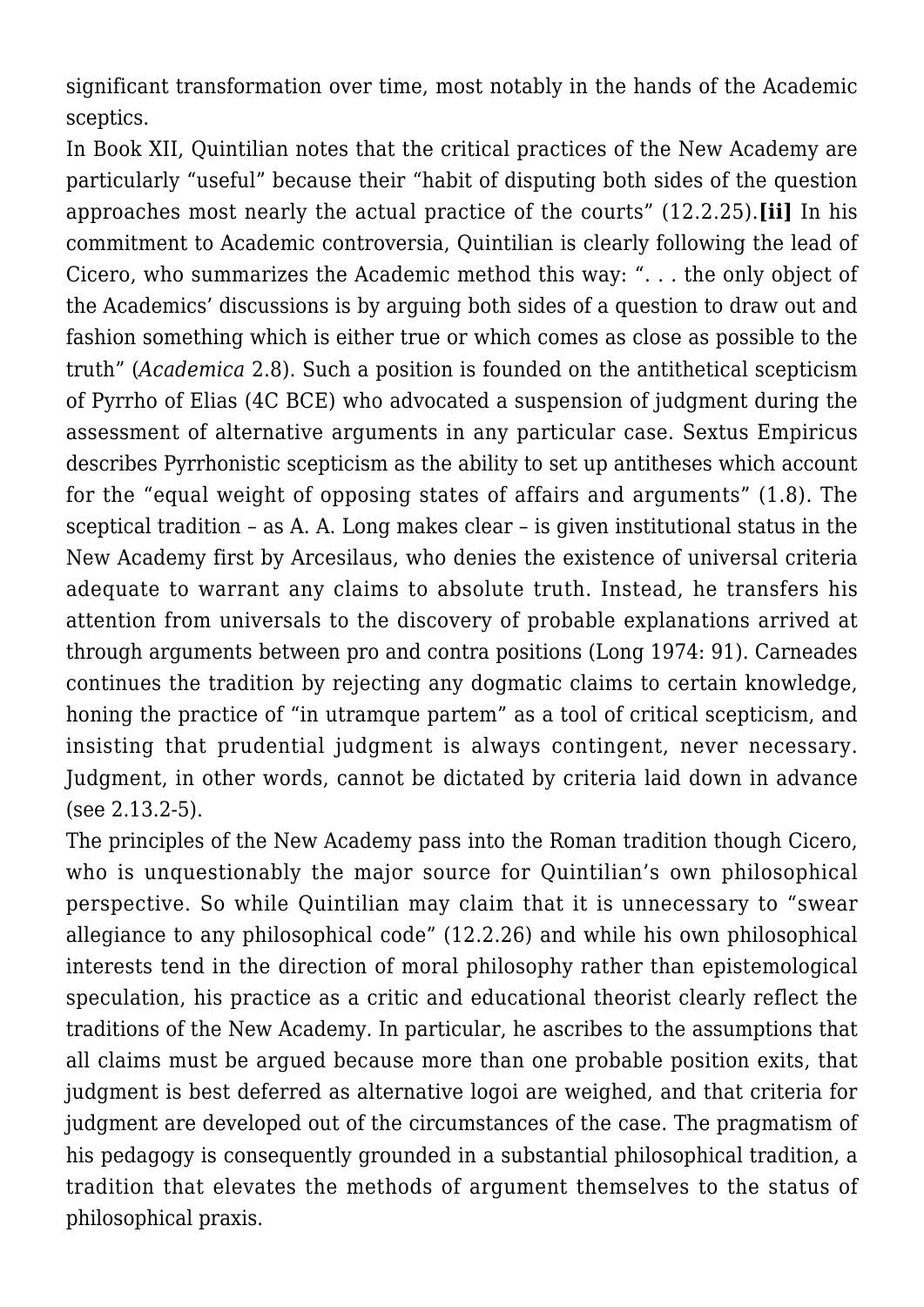significant transformation over time, most notably in the hands of the Academic sceptics.

In Book XII, Quintilian notes that the critical practices of the New Academy are particularly "useful" because their "habit of disputing both sides of the question approaches most nearly the actual practice of the courts" (12.2.25).**[ii]** In his commitment to Academic controversia, Quintilian is clearly following the lead of Cicero, who summarizes the Academic method this way: ". . . the only object of the Academics' discussions is by arguing both sides of a question to draw out and fashion something which is either true or which comes as close as possible to the truth" (*Academica* 2.8). Such a position is founded on the antithetical scepticism of Pyrrho of Elias (4C BCE) who advocated a suspension of judgment during the assessment of alternative arguments in any particular case. Sextus Empiricus describes Pyrrhonistic scepticism as the ability to set up antitheses which account for the "equal weight of opposing states of affairs and arguments" (1.8). The sceptical tradition – as A. A. Long makes clear – is given institutional status in the New Academy first by Arcesilaus, who denies the existence of universal criteria adequate to warrant any claims to absolute truth. Instead, he transfers his attention from universals to the discovery of probable explanations arrived at through arguments between pro and contra positions (Long 1974: 91). Carneades continues the tradition by rejecting any dogmatic claims to certain knowledge, honing the practice of "in utramque partem" as a tool of critical scepticism, and insisting that prudential judgment is always contingent, never necessary. Judgment, in other words, cannot be dictated by criteria laid down in advance (see 2.13.2-5).

The principles of the New Academy pass into the Roman tradition though Cicero, who is unquestionably the major source for Quintilian's own philosophical perspective. So while Quintilian may claim that it is unnecessary to "swear allegiance to any philosophical code" (12.2.26) and while his own philosophical interests tend in the direction of moral philosophy rather than epistemological speculation, his practice as a critic and educational theorist clearly reflect the traditions of the New Academy. In particular, he ascribes to the assumptions that all claims must be argued because more than one probable position exits, that judgment is best deferred as alternative logoi are weighed, and that criteria for judgment are developed out of the circumstances of the case. The pragmatism of his pedagogy is consequently grounded in a substantial philosophical tradition, a tradition that elevates the methods of argument themselves to the status of philosophical praxis.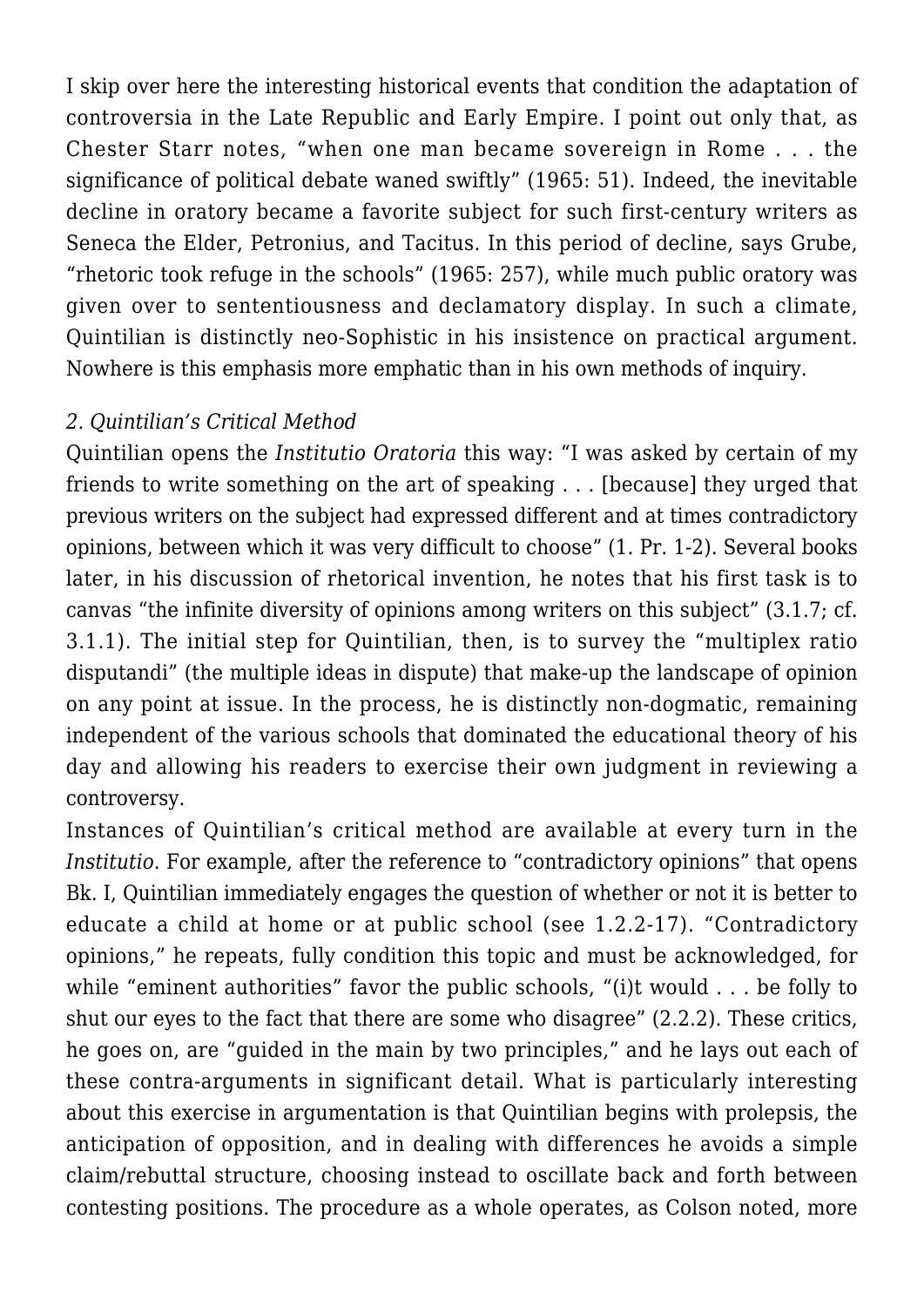I skip over here the interesting historical events that condition the adaptation of controversia in the Late Republic and Early Empire. I point out only that, as Chester Starr notes, "when one man became sovereign in Rome . . . the significance of political debate waned swiftly" (1965: 51). Indeed, the inevitable decline in oratory became a favorite subject for such first-century writers as Seneca the Elder, Petronius, and Tacitus. In this period of decline, says Grube, "rhetoric took refuge in the schools" (1965: 257), while much public oratory was given over to sententiousness and declamatory display. In such a climate, Quintilian is distinctly neo-Sophistic in his insistence on practical argument. Nowhere is this emphasis more emphatic than in his own methods of inquiry.

#### *2. Quintilian's Critical Method*

Quintilian opens the *Institutio Oratoria* this way: "I was asked by certain of my friends to write something on the art of speaking . . . [because] they urged that previous writers on the subject had expressed different and at times contradictory opinions, between which it was very difficult to choose" (1. Pr. 1-2). Several books later, in his discussion of rhetorical invention, he notes that his first task is to canvas "the infinite diversity of opinions among writers on this subject" (3.1.7; cf. 3.1.1). The initial step for Quintilian, then, is to survey the "multiplex ratio disputandi" (the multiple ideas in dispute) that make-up the landscape of opinion on any point at issue. In the process, he is distinctly non-dogmatic, remaining independent of the various schools that dominated the educational theory of his day and allowing his readers to exercise their own judgment in reviewing a controversy.

Instances of Quintilian's critical method are available at every turn in the *Institutio*. For example, after the reference to "contradictory opinions" that opens Bk. I, Quintilian immediately engages the question of whether or not it is better to educate a child at home or at public school (see 1.2.2-17). "Contradictory opinions," he repeats, fully condition this topic and must be acknowledged, for while "eminent authorities" favor the public schools, "(i)t would . . . be folly to shut our eyes to the fact that there are some who disagree" (2.2.2). These critics, he goes on, are "guided in the main by two principles," and he lays out each of these contra-arguments in significant detail. What is particularly interesting about this exercise in argumentation is that Quintilian begins with prolepsis, the anticipation of opposition, and in dealing with differences he avoids a simple claim/rebuttal structure, choosing instead to oscillate back and forth between contesting positions. The procedure as a whole operates, as Colson noted, more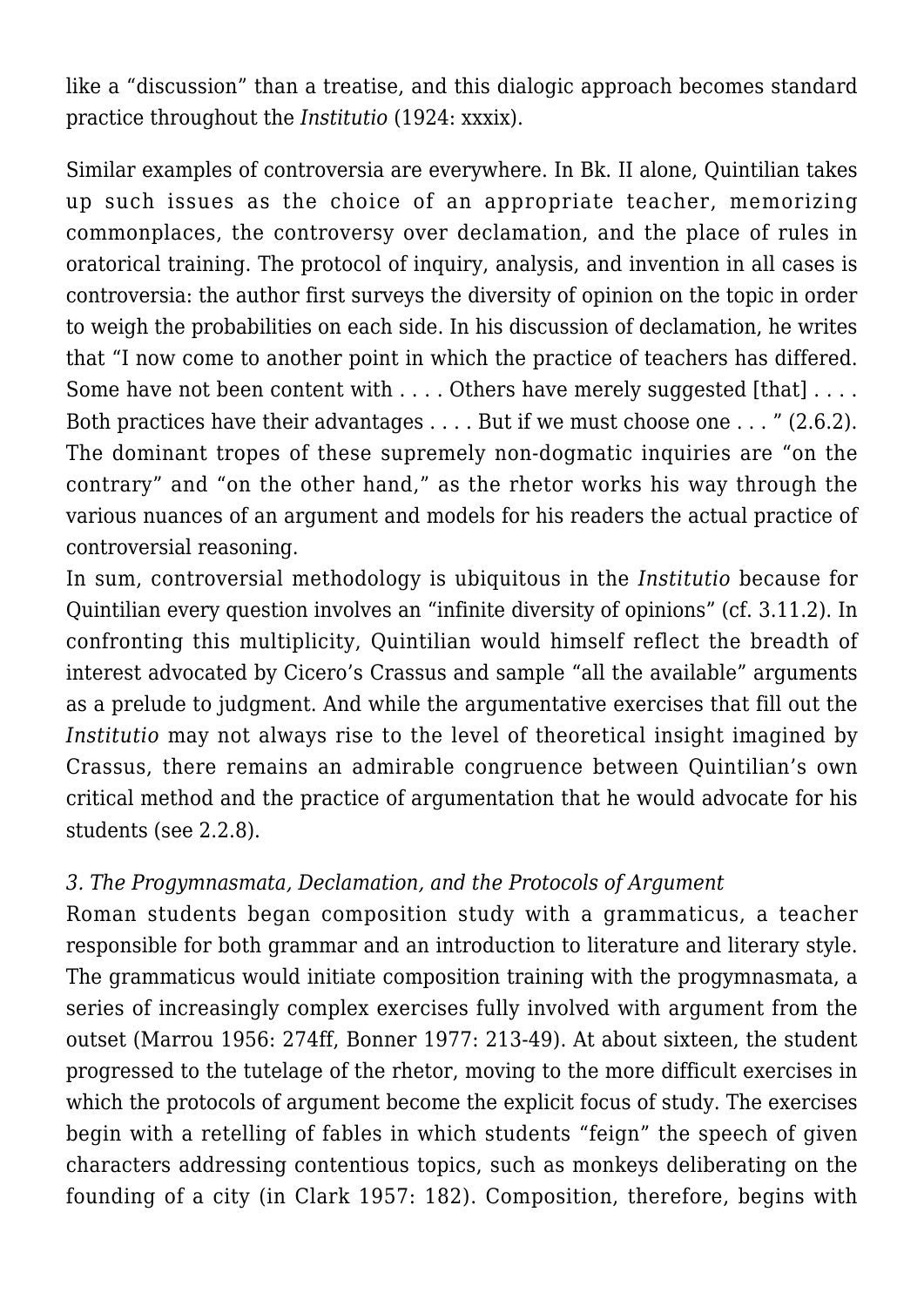like a "discussion" than a treatise, and this dialogic approach becomes standard practice throughout the *Institutio* (1924: xxxix).

Similar examples of controversia are everywhere. In Bk. II alone, Quintilian takes up such issues as the choice of an appropriate teacher, memorizing commonplaces, the controversy over declamation, and the place of rules in oratorical training. The protocol of inquiry, analysis, and invention in all cases is controversia: the author first surveys the diversity of opinion on the topic in order to weigh the probabilities on each side. In his discussion of declamation, he writes that "I now come to another point in which the practice of teachers has differed. Some have not been content with . . . . Others have merely suggested [that] . . . . Both practices have their advantages . . . . But if we must choose one . . . " (2.6.2). The dominant tropes of these supremely non-dogmatic inquiries are "on the contrary" and "on the other hand," as the rhetor works his way through the various nuances of an argument and models for his readers the actual practice of controversial reasoning.

In sum, controversial methodology is ubiquitous in the *Institutio* because for Quintilian every question involves an "infinite diversity of opinions" (cf. 3.11.2). In confronting this multiplicity, Quintilian would himself reflect the breadth of interest advocated by Cicero's Crassus and sample "all the available" arguments as a prelude to judgment. And while the argumentative exercises that fill out the *Institutio* may not always rise to the level of theoretical insight imagined by Crassus, there remains an admirable congruence between Quintilian's own critical method and the practice of argumentation that he would advocate for his students (see 2.2.8).

# *3. The Progymnasmata, Declamation, and the Protocols of Argument*

Roman students began composition study with a grammaticus, a teacher responsible for both grammar and an introduction to literature and literary style. The grammaticus would initiate composition training with the progymnasmata, a series of increasingly complex exercises fully involved with argument from the outset (Marrou 1956: 274ff, Bonner 1977: 213-49). At about sixteen, the student progressed to the tutelage of the rhetor, moving to the more difficult exercises in which the protocols of argument become the explicit focus of study. The exercises begin with a retelling of fables in which students "feign" the speech of given characters addressing contentious topics, such as monkeys deliberating on the founding of a city (in Clark 1957: 182). Composition, therefore, begins with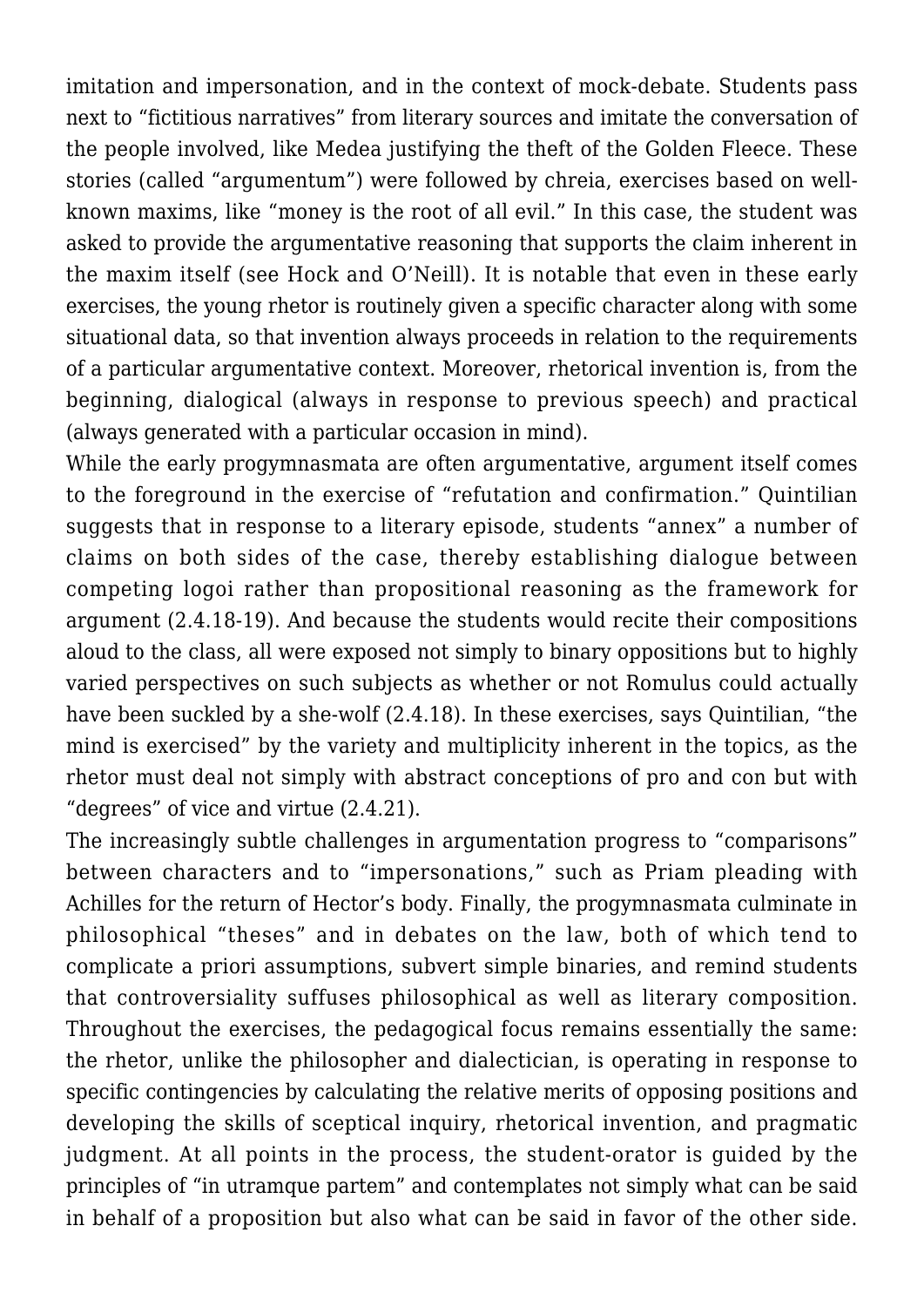imitation and impersonation, and in the context of mock-debate. Students pass next to "fictitious narratives" from literary sources and imitate the conversation of the people involved, like Medea justifying the theft of the Golden Fleece. These stories (called "argumentum") were followed by chreia, exercises based on wellknown maxims, like "money is the root of all evil." In this case, the student was asked to provide the argumentative reasoning that supports the claim inherent in the maxim itself (see Hock and O'Neill). It is notable that even in these early exercises, the young rhetor is routinely given a specific character along with some situational data, so that invention always proceeds in relation to the requirements of a particular argumentative context. Moreover, rhetorical invention is, from the beginning, dialogical (always in response to previous speech) and practical (always generated with a particular occasion in mind).

While the early progymnasmata are often argumentative, argument itself comes to the foreground in the exercise of "refutation and confirmation." Quintilian suggests that in response to a literary episode, students "annex" a number of claims on both sides of the case, thereby establishing dialogue between competing logoi rather than propositional reasoning as the framework for argument (2.4.18-19). And because the students would recite their compositions aloud to the class, all were exposed not simply to binary oppositions but to highly varied perspectives on such subjects as whether or not Romulus could actually have been suckled by a she-wolf (2.4.18). In these exercises, says Quintilian, "the mind is exercised" by the variety and multiplicity inherent in the topics, as the rhetor must deal not simply with abstract conceptions of pro and con but with "degrees" of vice and virtue (2.4.21).

The increasingly subtle challenges in argumentation progress to "comparisons" between characters and to "impersonations," such as Priam pleading with Achilles for the return of Hector's body. Finally, the progymnasmata culminate in philosophical "theses" and in debates on the law, both of which tend to complicate a priori assumptions, subvert simple binaries, and remind students that controversiality suffuses philosophical as well as literary composition. Throughout the exercises, the pedagogical focus remains essentially the same: the rhetor, unlike the philosopher and dialectician, is operating in response to specific contingencies by calculating the relative merits of opposing positions and developing the skills of sceptical inquiry, rhetorical invention, and pragmatic judgment. At all points in the process, the student-orator is guided by the principles of "in utramque partem" and contemplates not simply what can be said in behalf of a proposition but also what can be said in favor of the other side.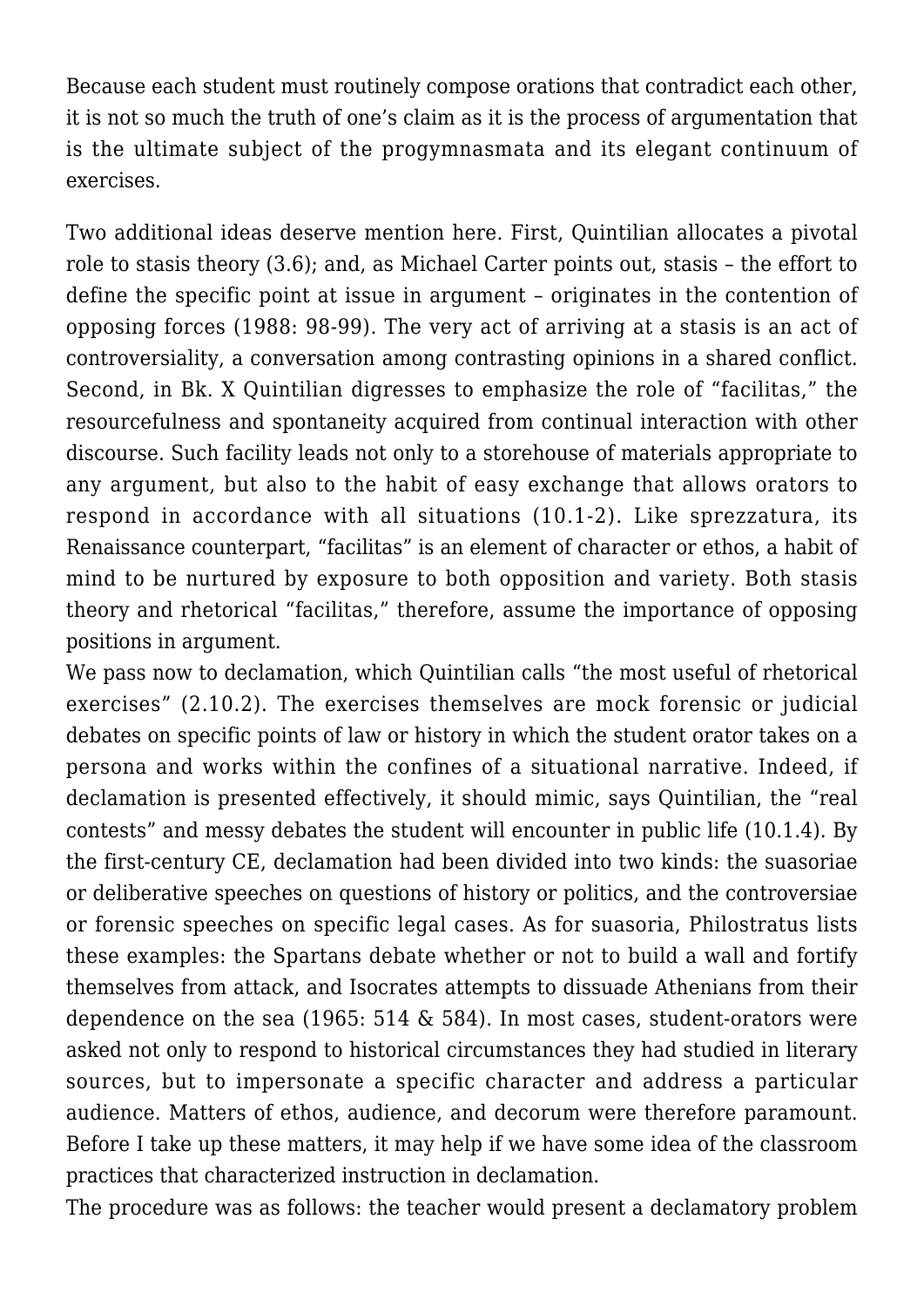Because each student must routinely compose orations that contradict each other, it is not so much the truth of one's claim as it is the process of argumentation that is the ultimate subject of the progymnasmata and its elegant continuum of exercises.

Two additional ideas deserve mention here. First, Quintilian allocates a pivotal role to stasis theory (3.6); and, as Michael Carter points out, stasis – the effort to define the specific point at issue in argument – originates in the contention of opposing forces (1988: 98-99). The very act of arriving at a stasis is an act of controversiality, a conversation among contrasting opinions in a shared conflict. Second, in Bk. X Quintilian digresses to emphasize the role of "facilitas," the resourcefulness and spontaneity acquired from continual interaction with other discourse. Such facility leads not only to a storehouse of materials appropriate to any argument, but also to the habit of easy exchange that allows orators to respond in accordance with all situations (10.1-2). Like sprezzatura, its Renaissance counterpart, "facilitas" is an element of character or ethos, a habit of mind to be nurtured by exposure to both opposition and variety. Both stasis theory and rhetorical "facilitas," therefore, assume the importance of opposing positions in argument.

We pass now to declamation, which Quintilian calls "the most useful of rhetorical exercises" (2.10.2). The exercises themselves are mock forensic or judicial debates on specific points of law or history in which the student orator takes on a persona and works within the confines of a situational narrative. Indeed, if declamation is presented effectively, it should mimic, says Quintilian, the "real contests" and messy debates the student will encounter in public life (10.1.4). By the first-century CE, declamation had been divided into two kinds: the suasoriae or deliberative speeches on questions of history or politics, and the controversiae or forensic speeches on specific legal cases. As for suasoria, Philostratus lists these examples: the Spartans debate whether or not to build a wall and fortify themselves from attack, and Isocrates attempts to dissuade Athenians from their dependence on the sea (1965: 514 & 584). In most cases, student-orators were asked not only to respond to historical circumstances they had studied in literary sources, but to impersonate a specific character and address a particular audience. Matters of ethos, audience, and decorum were therefore paramount. Before I take up these matters, it may help if we have some idea of the classroom practices that characterized instruction in declamation.

The procedure was as follows: the teacher would present a declamatory problem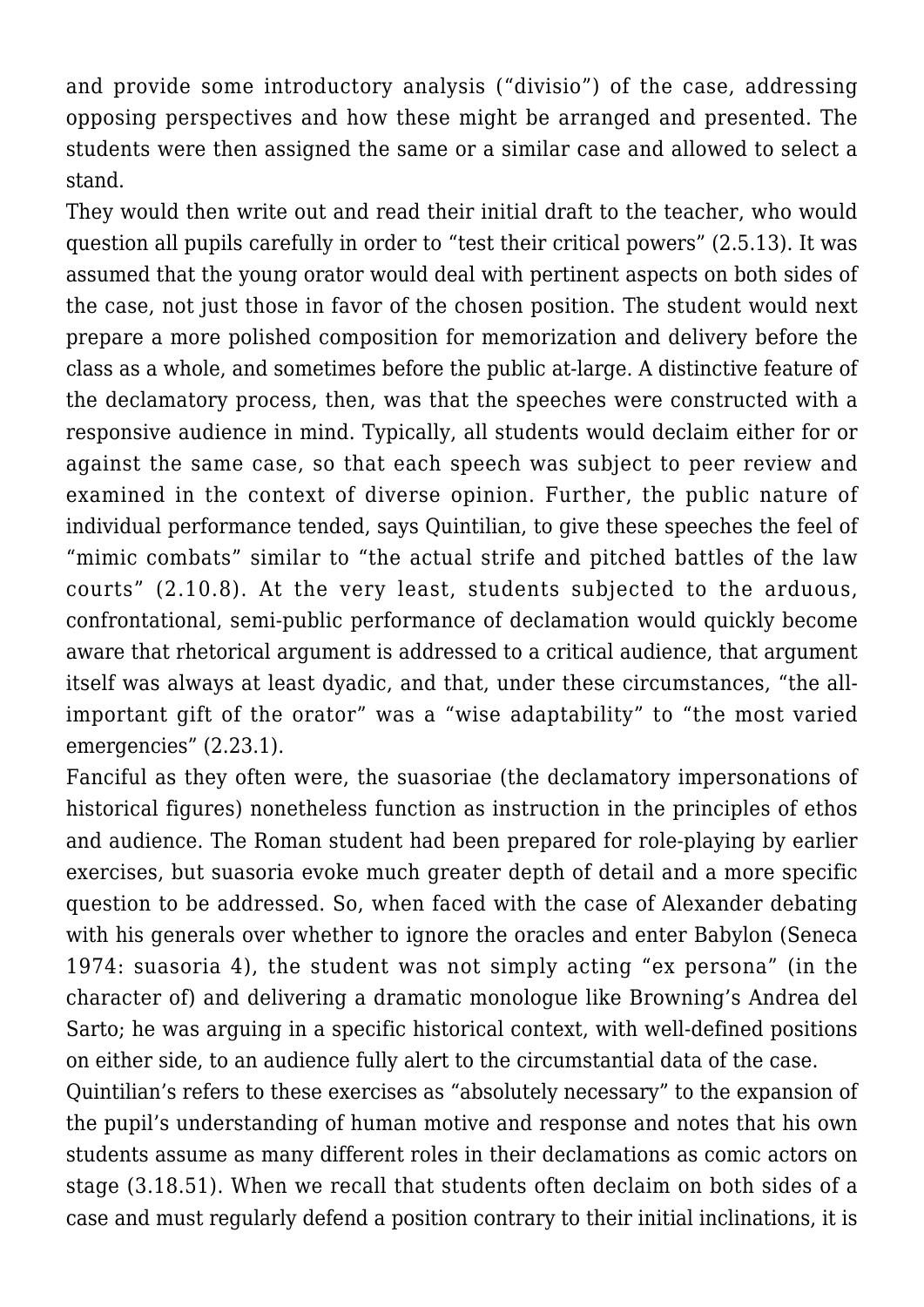and provide some introductory analysis ("divisio") of the case, addressing opposing perspectives and how these might be arranged and presented. The students were then assigned the same or a similar case and allowed to select a stand.

They would then write out and read their initial draft to the teacher, who would question all pupils carefully in order to "test their critical powers" (2.5.13). It was assumed that the young orator would deal with pertinent aspects on both sides of the case, not just those in favor of the chosen position. The student would next prepare a more polished composition for memorization and delivery before the class as a whole, and sometimes before the public at-large. A distinctive feature of the declamatory process, then, was that the speeches were constructed with a responsive audience in mind. Typically, all students would declaim either for or against the same case, so that each speech was subject to peer review and examined in the context of diverse opinion. Further, the public nature of individual performance tended, says Quintilian, to give these speeches the feel of "mimic combats" similar to "the actual strife and pitched battles of the law courts" (2.10.8). At the very least, students subjected to the arduous, confrontational, semi-public performance of declamation would quickly become aware that rhetorical argument is addressed to a critical audience, that argument itself was always at least dyadic, and that, under these circumstances, "the allimportant gift of the orator" was a "wise adaptability" to "the most varied emergencies" (2.23.1).

Fanciful as they often were, the suasoriae (the declamatory impersonations of historical figures) nonetheless function as instruction in the principles of ethos and audience. The Roman student had been prepared for role-playing by earlier exercises, but suasoria evoke much greater depth of detail and a more specific question to be addressed. So, when faced with the case of Alexander debating with his generals over whether to ignore the oracles and enter Babylon (Seneca 1974: suasoria 4), the student was not simply acting "ex persona" (in the character of) and delivering a dramatic monologue like Browning's Andrea del Sarto; he was arguing in a specific historical context, with well-defined positions on either side, to an audience fully alert to the circumstantial data of the case.

Quintilian's refers to these exercises as "absolutely necessary" to the expansion of the pupil's understanding of human motive and response and notes that his own students assume as many different roles in their declamations as comic actors on stage (3.18.51). When we recall that students often declaim on both sides of a case and must regularly defend a position contrary to their initial inclinations, it is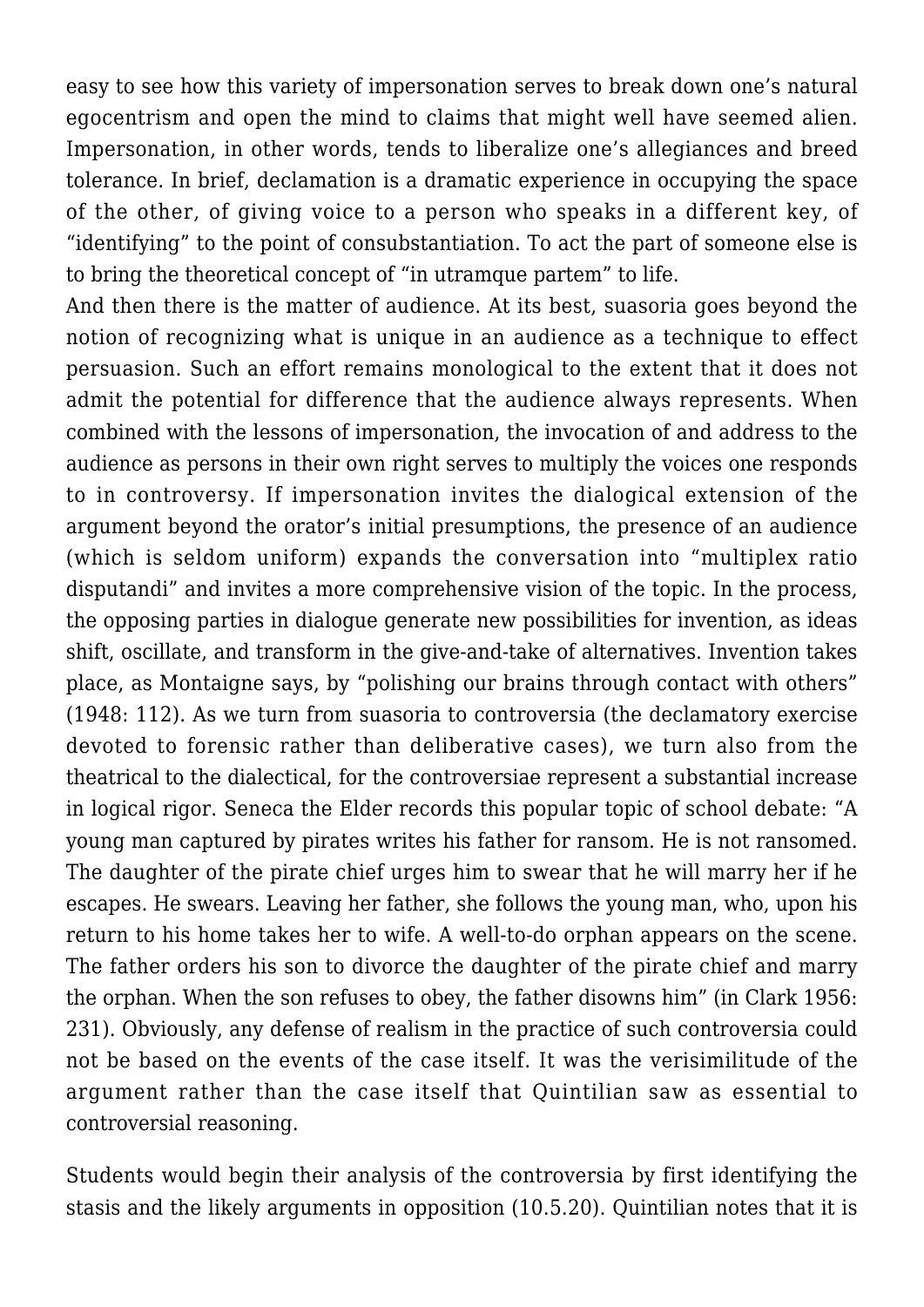easy to see how this variety of impersonation serves to break down one's natural egocentrism and open the mind to claims that might well have seemed alien. Impersonation, in other words, tends to liberalize one's allegiances and breed tolerance. In brief, declamation is a dramatic experience in occupying the space of the other, of giving voice to a person who speaks in a different key, of "identifying" to the point of consubstantiation. To act the part of someone else is to bring the theoretical concept of "in utramque partem" to life.

And then there is the matter of audience. At its best, suasoria goes beyond the notion of recognizing what is unique in an audience as a technique to effect persuasion. Such an effort remains monological to the extent that it does not admit the potential for difference that the audience always represents. When combined with the lessons of impersonation, the invocation of and address to the audience as persons in their own right serves to multiply the voices one responds to in controversy. If impersonation invites the dialogical extension of the argument beyond the orator's initial presumptions, the presence of an audience (which is seldom uniform) expands the conversation into "multiplex ratio disputandi" and invites a more comprehensive vision of the topic. In the process, the opposing parties in dialogue generate new possibilities for invention, as ideas shift, oscillate, and transform in the give-and-take of alternatives. Invention takes place, as Montaigne says, by "polishing our brains through contact with others" (1948: 112). As we turn from suasoria to controversia (the declamatory exercise devoted to forensic rather than deliberative cases), we turn also from the theatrical to the dialectical, for the controversiae represent a substantial increase in logical rigor. Seneca the Elder records this popular topic of school debate: "A young man captured by pirates writes his father for ransom. He is not ransomed. The daughter of the pirate chief urges him to swear that he will marry her if he escapes. He swears. Leaving her father, she follows the young man, who, upon his return to his home takes her to wife. A well-to-do orphan appears on the scene. The father orders his son to divorce the daughter of the pirate chief and marry the orphan. When the son refuses to obey, the father disowns him" (in Clark 1956: 231). Obviously, any defense of realism in the practice of such controversia could not be based on the events of the case itself. It was the verisimilitude of the argument rather than the case itself that Quintilian saw as essential to controversial reasoning.

Students would begin their analysis of the controversia by first identifying the stasis and the likely arguments in opposition (10.5.20). Quintilian notes that it is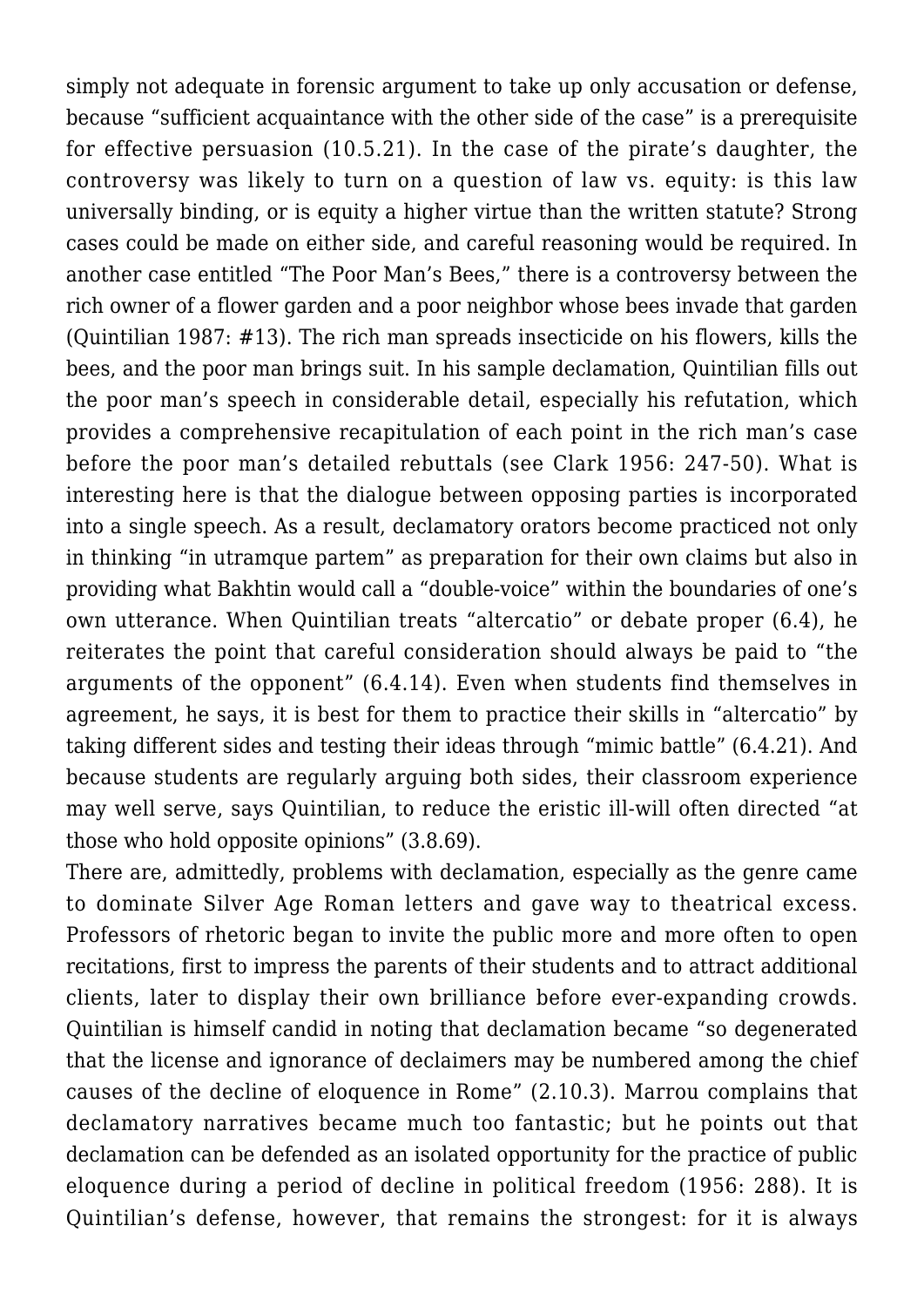simply not adequate in forensic argument to take up only accusation or defense, because "sufficient acquaintance with the other side of the case" is a prerequisite for effective persuasion (10.5.21). In the case of the pirate's daughter, the controversy was likely to turn on a question of law vs. equity: is this law universally binding, or is equity a higher virtue than the written statute? Strong cases could be made on either side, and careful reasoning would be required. In another case entitled "The Poor Man's Bees," there is a controversy between the rich owner of a flower garden and a poor neighbor whose bees invade that garden (Quintilian 1987: #13). The rich man spreads insecticide on his flowers, kills the bees, and the poor man brings suit. In his sample declamation, Quintilian fills out the poor man's speech in considerable detail, especially his refutation, which provides a comprehensive recapitulation of each point in the rich man's case before the poor man's detailed rebuttals (see Clark 1956: 247-50). What is interesting here is that the dialogue between opposing parties is incorporated into a single speech. As a result, declamatory orators become practiced not only in thinking "in utramque partem" as preparation for their own claims but also in providing what Bakhtin would call a "double-voice" within the boundaries of one's own utterance. When Quintilian treats "altercatio" or debate proper (6.4), he reiterates the point that careful consideration should always be paid to "the arguments of the opponent" (6.4.14). Even when students find themselves in agreement, he says, it is best for them to practice their skills in "altercatio" by taking different sides and testing their ideas through "mimic battle" (6.4.21). And because students are regularly arguing both sides, their classroom experience may well serve, says Quintilian, to reduce the eristic ill-will often directed "at those who hold opposite opinions" (3.8.69).

There are, admittedly, problems with declamation, especially as the genre came to dominate Silver Age Roman letters and gave way to theatrical excess. Professors of rhetoric began to invite the public more and more often to open recitations, first to impress the parents of their students and to attract additional clients, later to display their own brilliance before ever-expanding crowds. Quintilian is himself candid in noting that declamation became "so degenerated that the license and ignorance of declaimers may be numbered among the chief causes of the decline of eloquence in Rome" (2.10.3). Marrou complains that declamatory narratives became much too fantastic; but he points out that declamation can be defended as an isolated opportunity for the practice of public eloquence during a period of decline in political freedom (1956: 288). It is Quintilian's defense, however, that remains the strongest: for it is always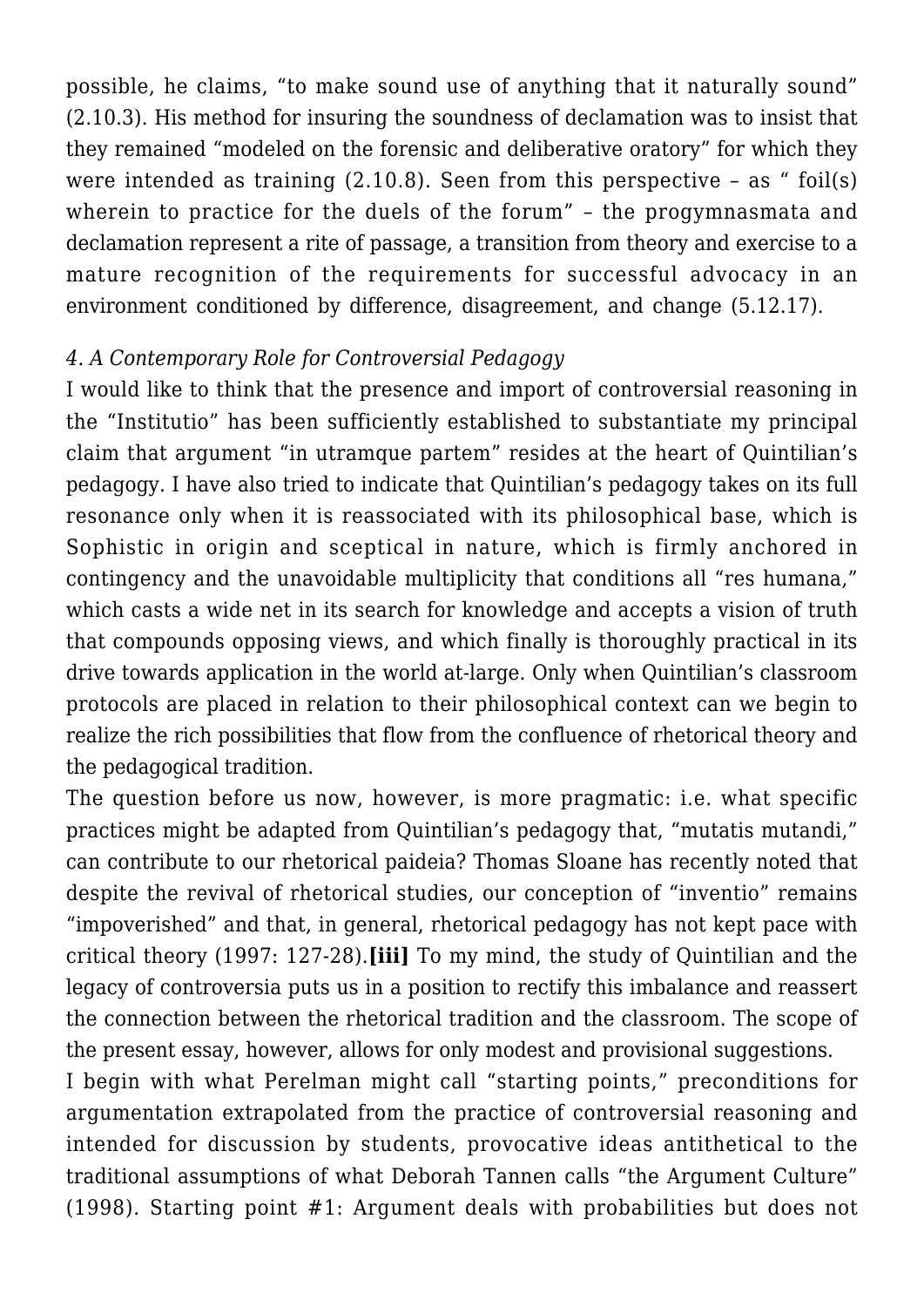possible, he claims, "to make sound use of anything that it naturally sound" (2.10.3). His method for insuring the soundness of declamation was to insist that they remained "modeled on the forensic and deliberative oratory" for which they were intended as training  $(2.10.8)$ . Seen from this perspective - as " foil(s) wherein to practice for the duels of the forum" – the progymnasmata and declamation represent a rite of passage, a transition from theory and exercise to a mature recognition of the requirements for successful advocacy in an environment conditioned by difference, disagreement, and change (5.12.17).

#### *4. A Contemporary Role for Controversial Pedagogy*

I would like to think that the presence and import of controversial reasoning in the "Institutio" has been sufficiently established to substantiate my principal claim that argument "in utramque partem" resides at the heart of Quintilian's pedagogy. I have also tried to indicate that Quintilian's pedagogy takes on its full resonance only when it is reassociated with its philosophical base, which is Sophistic in origin and sceptical in nature, which is firmly anchored in contingency and the unavoidable multiplicity that conditions all "res humana," which casts a wide net in its search for knowledge and accepts a vision of truth that compounds opposing views, and which finally is thoroughly practical in its drive towards application in the world at-large. Only when Quintilian's classroom protocols are placed in relation to their philosophical context can we begin to realize the rich possibilities that flow from the confluence of rhetorical theory and the pedagogical tradition.

The question before us now, however, is more pragmatic: i.e. what specific practices might be adapted from Quintilian's pedagogy that, "mutatis mutandi," can contribute to our rhetorical paideia? Thomas Sloane has recently noted that despite the revival of rhetorical studies, our conception of "inventio" remains "impoverished" and that, in general, rhetorical pedagogy has not kept pace with critical theory (1997: 127-28).**[iii]** To my mind, the study of Quintilian and the legacy of controversia puts us in a position to rectify this imbalance and reassert the connection between the rhetorical tradition and the classroom. The scope of the present essay, however, allows for only modest and provisional suggestions.

I begin with what Perelman might call "starting points," preconditions for argumentation extrapolated from the practice of controversial reasoning and intended for discussion by students, provocative ideas antithetical to the traditional assumptions of what Deborah Tannen calls "the Argument Culture" (1998). Starting point #1: Argument deals with probabilities but does not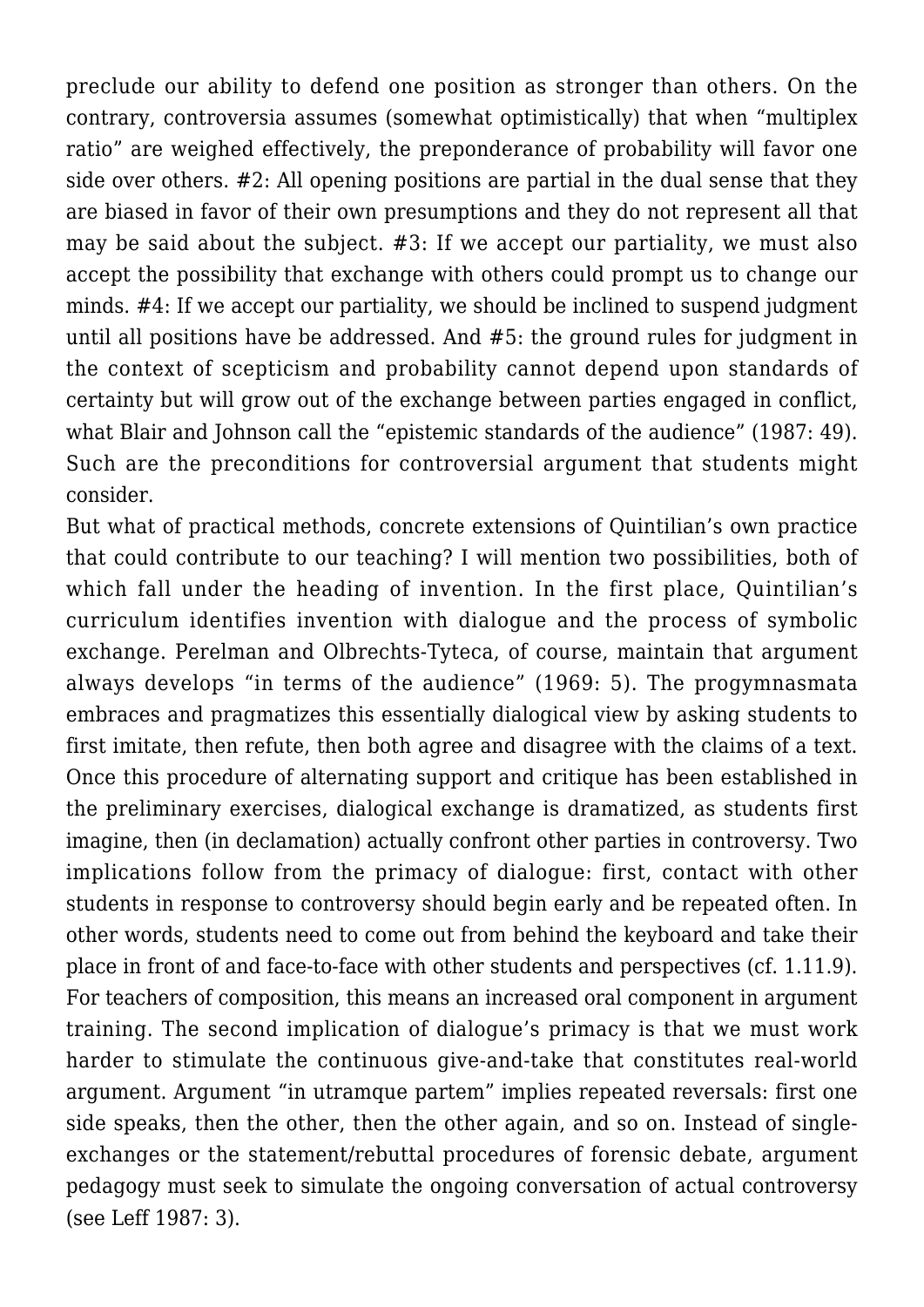preclude our ability to defend one position as stronger than others. On the contrary, controversia assumes (somewhat optimistically) that when "multiplex ratio" are weighed effectively, the preponderance of probability will favor one side over others. #2: All opening positions are partial in the dual sense that they are biased in favor of their own presumptions and they do not represent all that may be said about the subject. #3: If we accept our partiality, we must also accept the possibility that exchange with others could prompt us to change our minds. #4: If we accept our partiality, we should be inclined to suspend judgment until all positions have be addressed. And #5: the ground rules for judgment in the context of scepticism and probability cannot depend upon standards of certainty but will grow out of the exchange between parties engaged in conflict, what Blair and Johnson call the "epistemic standards of the audience" (1987: 49). Such are the preconditions for controversial argument that students might consider.

But what of practical methods, concrete extensions of Quintilian's own practice that could contribute to our teaching? I will mention two possibilities, both of which fall under the heading of invention. In the first place, Quintilian's curriculum identifies invention with dialogue and the process of symbolic exchange. Perelman and Olbrechts-Tyteca, of course, maintain that argument always develops "in terms of the audience" (1969: 5). The progymnasmata embraces and pragmatizes this essentially dialogical view by asking students to first imitate, then refute, then both agree and disagree with the claims of a text. Once this procedure of alternating support and critique has been established in the preliminary exercises, dialogical exchange is dramatized, as students first imagine, then (in declamation) actually confront other parties in controversy. Two implications follow from the primacy of dialogue: first, contact with other students in response to controversy should begin early and be repeated often. In other words, students need to come out from behind the keyboard and take their place in front of and face-to-face with other students and perspectives (cf. 1.11.9). For teachers of composition, this means an increased oral component in argument training. The second implication of dialogue's primacy is that we must work harder to stimulate the continuous give-and-take that constitutes real-world argument. Argument "in utramque partem" implies repeated reversals: first one side speaks, then the other, then the other again, and so on. Instead of singleexchanges or the statement/rebuttal procedures of forensic debate, argument pedagogy must seek to simulate the ongoing conversation of actual controversy (see Leff 1987: 3).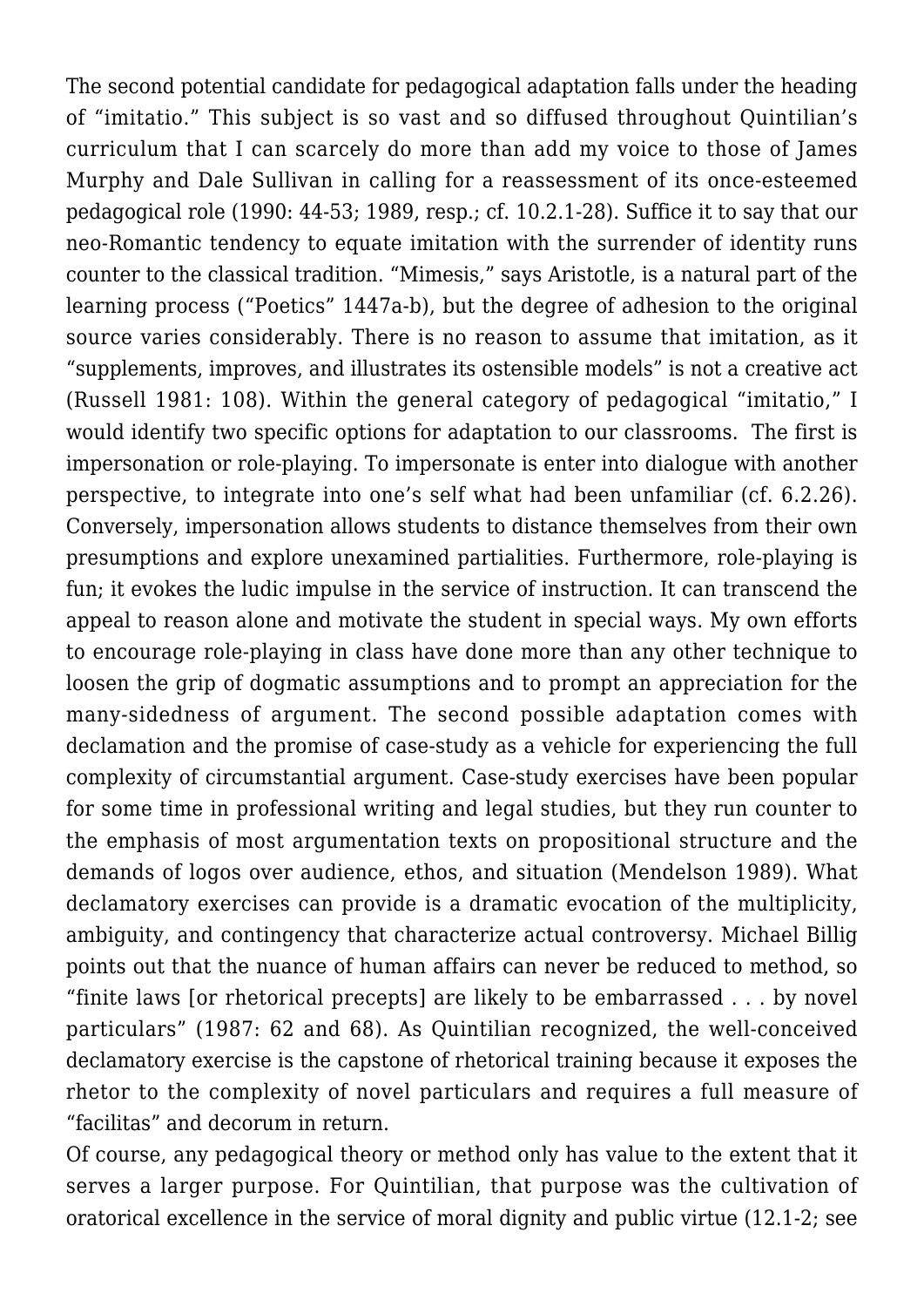The second potential candidate for pedagogical adaptation falls under the heading of "imitatio." This subject is so vast and so diffused throughout Quintilian's curriculum that I can scarcely do more than add my voice to those of James Murphy and Dale Sullivan in calling for a reassessment of its once-esteemed pedagogical role (1990: 44-53; 1989, resp.; cf. 10.2.1-28). Suffice it to say that our neo-Romantic tendency to equate imitation with the surrender of identity runs counter to the classical tradition. "Mimesis," says Aristotle, is a natural part of the learning process ("Poetics" 1447a-b), but the degree of adhesion to the original source varies considerably. There is no reason to assume that imitation, as it "supplements, improves, and illustrates its ostensible models" is not a creative act (Russell 1981: 108). Within the general category of pedagogical "imitatio," I would identify two specific options for adaptation to our classrooms. The first is impersonation or role-playing. To impersonate is enter into dialogue with another perspective, to integrate into one's self what had been unfamiliar (cf. 6.2.26). Conversely, impersonation allows students to distance themselves from their own presumptions and explore unexamined partialities. Furthermore, role-playing is fun; it evokes the ludic impulse in the service of instruction. It can transcend the appeal to reason alone and motivate the student in special ways. My own efforts to encourage role-playing in class have done more than any other technique to loosen the grip of dogmatic assumptions and to prompt an appreciation for the many-sidedness of argument. The second possible adaptation comes with declamation and the promise of case-study as a vehicle for experiencing the full complexity of circumstantial argument. Case-study exercises have been popular for some time in professional writing and legal studies, but they run counter to the emphasis of most argumentation texts on propositional structure and the demands of logos over audience, ethos, and situation (Mendelson 1989). What declamatory exercises can provide is a dramatic evocation of the multiplicity, ambiguity, and contingency that characterize actual controversy. Michael Billig points out that the nuance of human affairs can never be reduced to method, so "finite laws [or rhetorical precepts] are likely to be embarrassed . . . by novel particulars" (1987: 62 and 68). As Quintilian recognized, the well-conceived declamatory exercise is the capstone of rhetorical training because it exposes the rhetor to the complexity of novel particulars and requires a full measure of "facilitas" and decorum in return.

Of course, any pedagogical theory or method only has value to the extent that it serves a larger purpose. For Quintilian, that purpose was the cultivation of oratorical excellence in the service of moral dignity and public virtue (12.1-2; see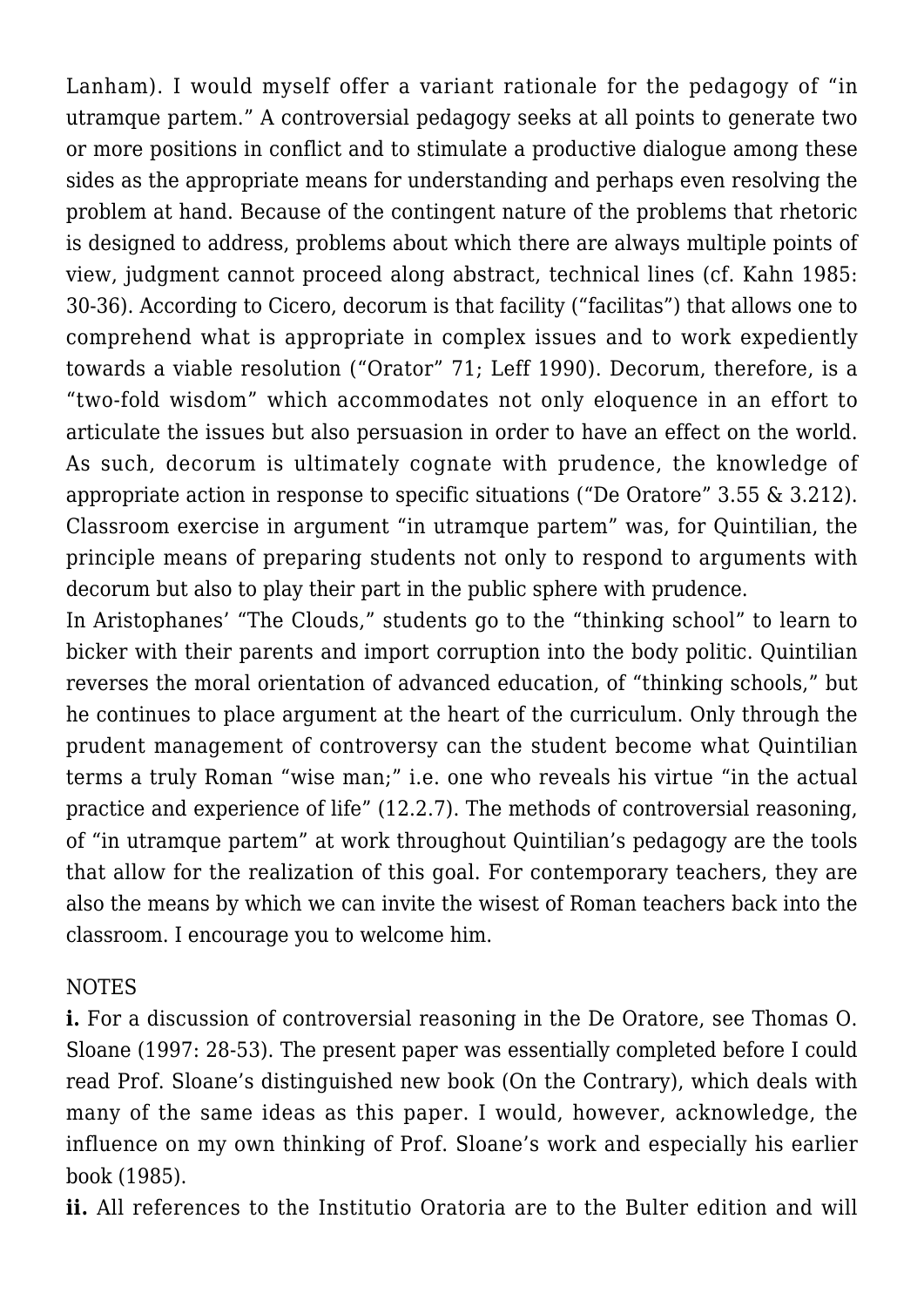Lanham). I would myself offer a variant rationale for the pedagogy of "in utramque partem." A controversial pedagogy seeks at all points to generate two or more positions in conflict and to stimulate a productive dialogue among these sides as the appropriate means for understanding and perhaps even resolving the problem at hand. Because of the contingent nature of the problems that rhetoric is designed to address, problems about which there are always multiple points of view, judgment cannot proceed along abstract, technical lines (cf. Kahn 1985: 30-36). According to Cicero, decorum is that facility ("facilitas") that allows one to comprehend what is appropriate in complex issues and to work expediently towards a viable resolution ("Orator" 71; Leff 1990). Decorum, therefore, is a "two-fold wisdom" which accommodates not only eloquence in an effort to articulate the issues but also persuasion in order to have an effect on the world. As such, decorum is ultimately cognate with prudence, the knowledge of appropriate action in response to specific situations ("De Oratore" 3.55 & 3.212). Classroom exercise in argument "in utramque partem" was, for Quintilian, the principle means of preparing students not only to respond to arguments with decorum but also to play their part in the public sphere with prudence.

In Aristophanes' "The Clouds," students go to the "thinking school" to learn to bicker with their parents and import corruption into the body politic. Quintilian reverses the moral orientation of advanced education, of "thinking schools," but he continues to place argument at the heart of the curriculum. Only through the prudent management of controversy can the student become what Quintilian terms a truly Roman "wise man;" i.e. one who reveals his virtue "in the actual practice and experience of life" (12.2.7). The methods of controversial reasoning, of "in utramque partem" at work throughout Quintilian's pedagogy are the tools that allow for the realization of this goal. For contemporary teachers, they are also the means by which we can invite the wisest of Roman teachers back into the classroom. I encourage you to welcome him.

# NOTES

**i.** For a discussion of controversial reasoning in the De Oratore, see Thomas O. Sloane (1997: 28-53). The present paper was essentially completed before I could read Prof. Sloane's distinguished new book (On the Contrary), which deals with many of the same ideas as this paper. I would, however, acknowledge, the influence on my own thinking of Prof. Sloane's work and especially his earlier book (1985).

**ii.** All references to the Institutio Oratoria are to the Bulter edition and will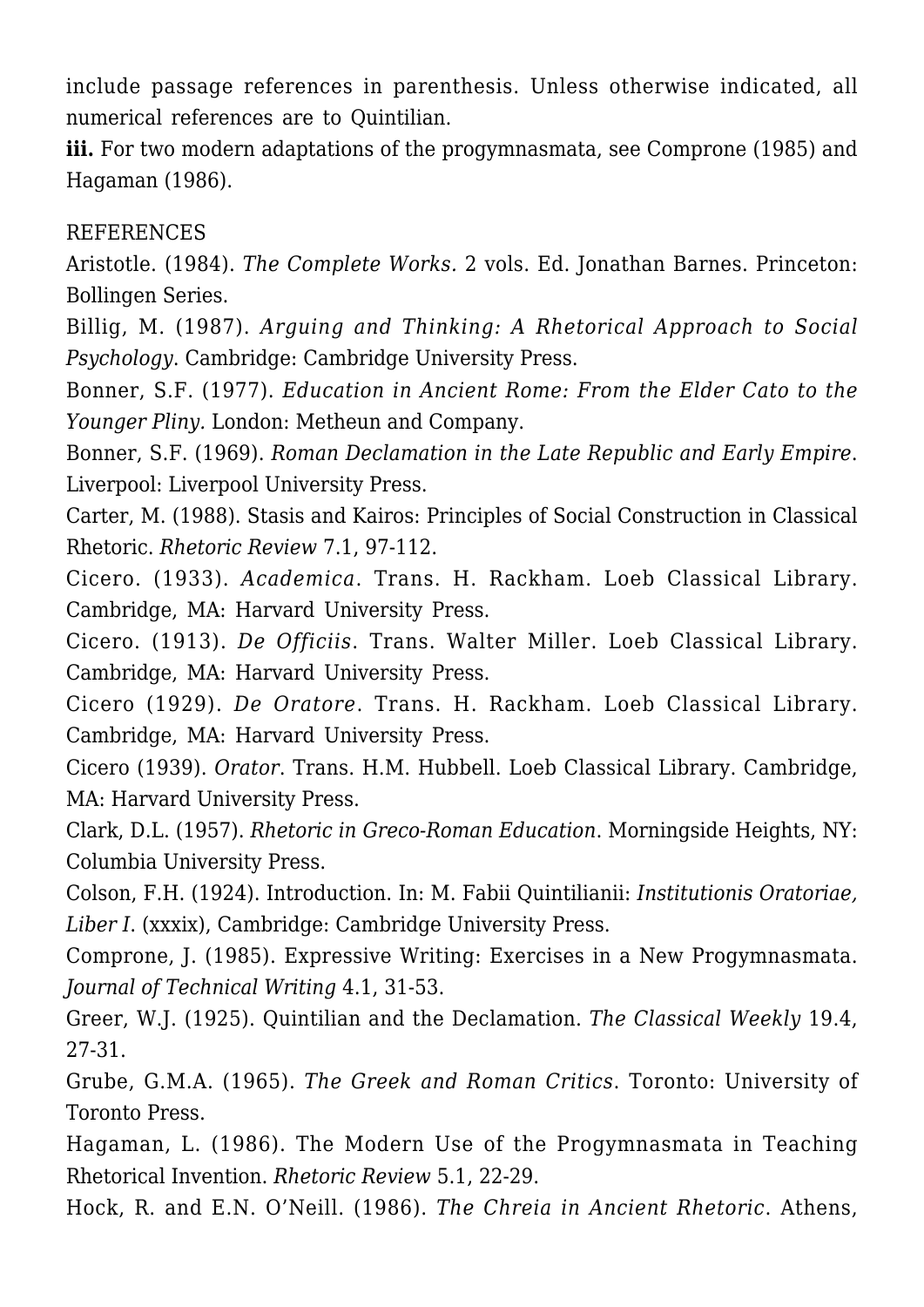include passage references in parenthesis. Unless otherwise indicated, all numerical references are to Quintilian.

**iii.** For two modern adaptations of the progymnasmata, see Comprone (1985) and Hagaman (1986).

#### **REFERENCES**

Aristotle. (1984). *The Complete Works.* 2 vols. Ed. Jonathan Barnes. Princeton: Bollingen Series.

Billig, M. (1987). *Arguing and Thinking: A Rhetorical Approach to Social Psychology*. Cambridge: Cambridge University Press.

Bonner, S.F. (1977). *Education in Ancient Rome: From the Elder Cato to the Younger Pliny.* London: Metheun and Company.

Bonner, S.F. (1969). *Roman Declamation in the Late Republic and Early Empire*. Liverpool: Liverpool University Press.

Carter, M. (1988). Stasis and Kairos: Principles of Social Construction in Classical Rhetoric. *Rhetoric Review* 7.1, 97-112.

Cicero. (1933). *Academica*. Trans. H. Rackham. Loeb Classical Library. Cambridge, MA: Harvard University Press.

Cicero. (1913). *De Officiis*. Trans. Walter Miller. Loeb Classical Library. Cambridge, MA: Harvard University Press.

Cicero (1929). *De Oratore*. Trans. H. Rackham. Loeb Classical Library. Cambridge, MA: Harvard University Press.

Cicero (1939). *Orator*. Trans. H.M. Hubbell. Loeb Classical Library. Cambridge, MA: Harvard University Press.

Clark, D.L. (1957). *Rhetoric in Greco-Roman Education*. Morningside Heights, NY: Columbia University Press.

Colson, F.H. (1924). Introduction. In: M. Fabii Quintilianii: *Institutionis Oratoriae, Liber I*. (xxxix), Cambridge: Cambridge University Press.

Comprone, J. (1985). Expressive Writing: Exercises in a New Progymnasmata. *Journal of Technical Writing* 4.1, 31-53.

Greer, W.J. (1925). Quintilian and the Declamation. *The Classical Weekly* 19.4, 27-31.

Grube, G.M.A. (1965). *The Greek and Roman Critics*. Toronto: University of Toronto Press.

Hagaman, L. (1986). The Modern Use of the Progymnasmata in Teaching Rhetorical Invention. *Rhetoric Review* 5.1, 22-29.

Hock, R. and E.N. O'Neill. (1986). *The Chreia in Ancient Rhetoric*. Athens,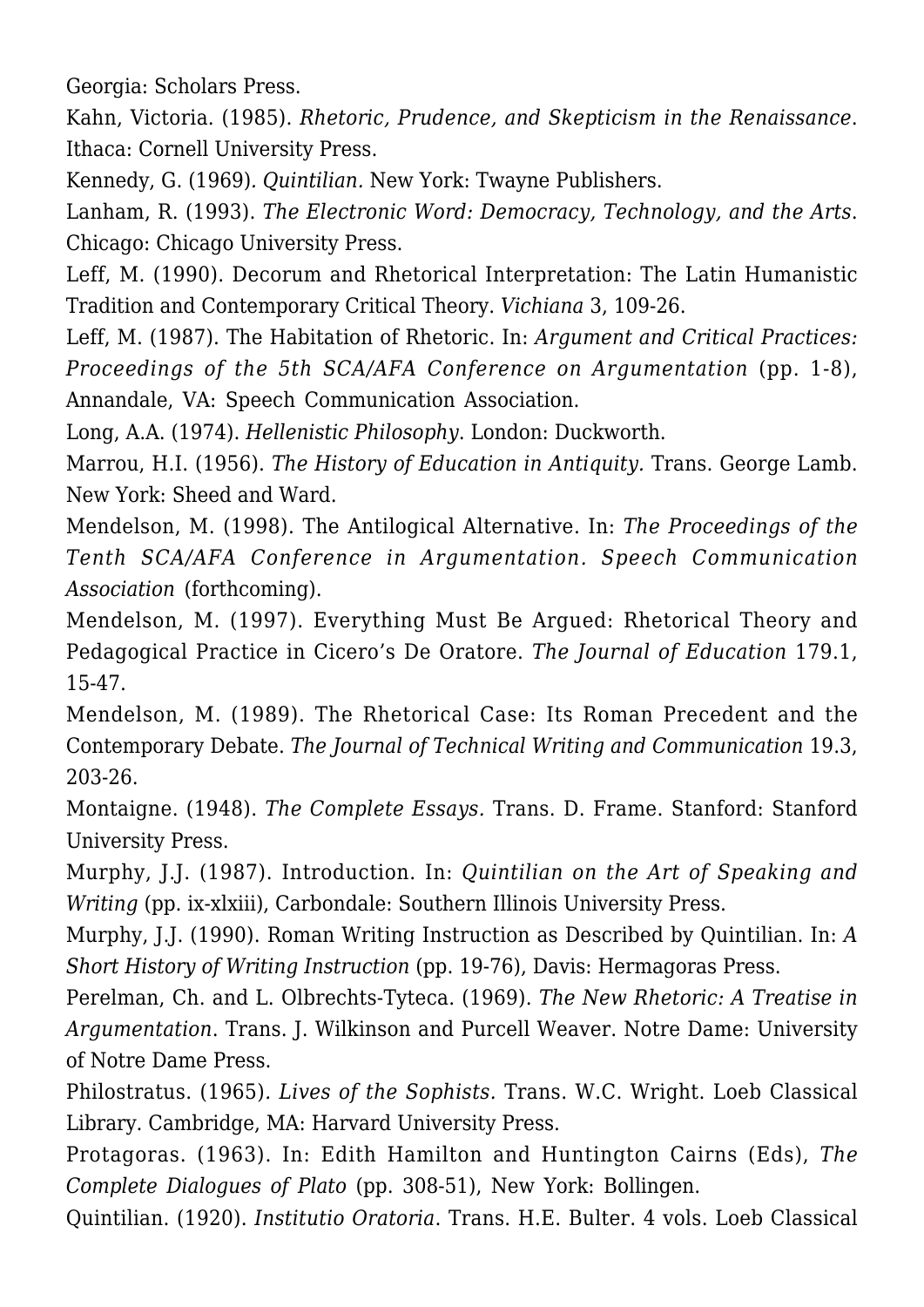Georgia: Scholars Press.

Kahn, Victoria. (1985). *Rhetoric, Prudence, and Skepticism in the Renaissance*. Ithaca: Cornell University Press.

Kennedy, G. (1969)*. Quintilian.* New York: Twayne Publishers.

Lanham, R. (1993). *The Electronic Word: Democracy, Technology, and the Arts*. Chicago: Chicago University Press.

Leff, M. (1990). Decorum and Rhetorical Interpretation: The Latin Humanistic Tradition and Contemporary Critical Theory. *Vichiana* 3, 109-26.

Leff, M. (1987). The Habitation of Rhetoric. In: *Argument and Critical Practices: Proceedings of the 5th SCA/AFA Conference on Argumentation* (pp. 1-8), Annandale, VA: Speech Communication Association.

Long, A.A. (1974). *Hellenistic Philosophy*. London: Duckworth.

Marrou, H.I. (1956). *The History of Education in Antiquity.* Trans. George Lamb. New York: Sheed and Ward.

Mendelson, M. (1998). The Antilogical Alternative. In: *The Proceedings of the Tenth SCA/AFA Conference in Argumentation. Speech Communication Association* (forthcoming).

Mendelson, M. (1997). Everything Must Be Argued: Rhetorical Theory and Pedagogical Practice in Cicero's De Oratore. *The Journal of Education* 179.1, 15-47.

Mendelson, M. (1989). The Rhetorical Case: Its Roman Precedent and the Contemporary Debate. *The Journal of Technical Writing and Communication* 19.3, 203-26.

Montaigne. (1948). *The Complete Essays.* Trans. D. Frame. Stanford: Stanford University Press.

Murphy, J.J. (1987). Introduction. In: *Quintilian on the Art of Speaking and Writing* (pp. ix-xlxiii), Carbondale: Southern Illinois University Press.

Murphy, J.J. (1990). Roman Writing Instruction as Described by Quintilian. In: *A Short History of Writing Instruction* (pp. 19-76), Davis: Hermagoras Press.

Perelman, Ch. and L. Olbrechts-Tyteca. (1969). *The New Rhetoric: A Treatise in Argumentation*. Trans. J. Wilkinson and Purcell Weaver. Notre Dame: University of Notre Dame Press.

Philostratus. (1965)*. Lives of the Sophists.* Trans. W.C. Wright. Loeb Classical Library. Cambridge, MA: Harvard University Press.

Protagoras. (1963). In: Edith Hamilton and Huntington Cairns (Eds), *The Complete Dialogues of Plato* (pp. 308-51), New York: Bollingen.

Quintilian. (1920). *Institutio Oratoria*. Trans. H.E. Bulter. 4 vols. Loeb Classical